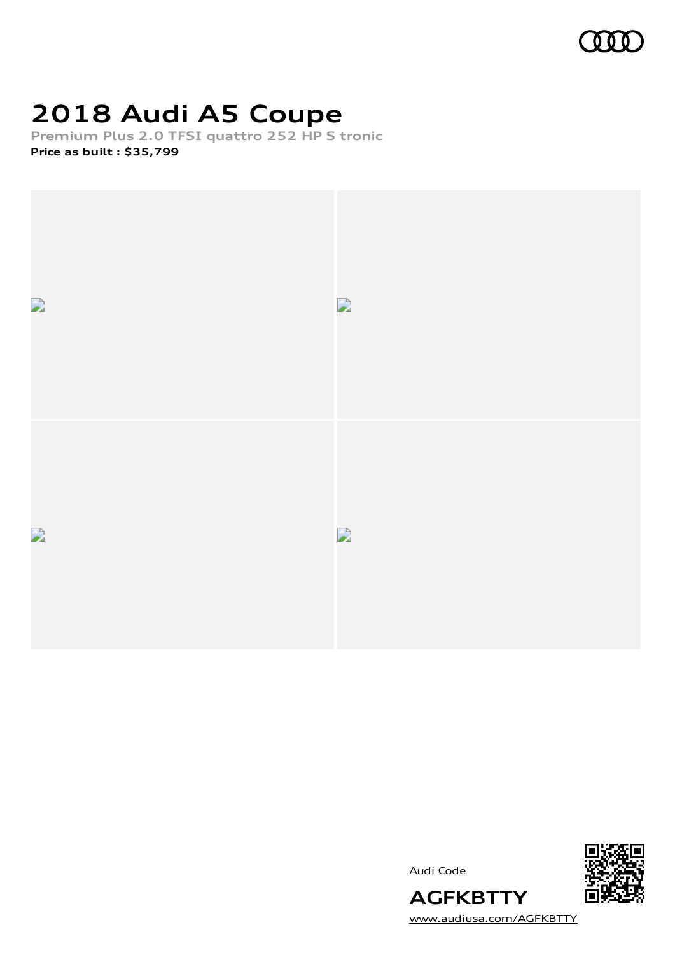

## **2018 Audi A5 Coupe**

**Premium Plus 2.0 TFSI quattro 252 HP S tronic Price as built [:](#page-7-0) \$35,799**



Audi Code



**AGFKBTTY** [www.audiusa.com/AGFKBTTY](https://www.audiusa.com/AGFKBTTY)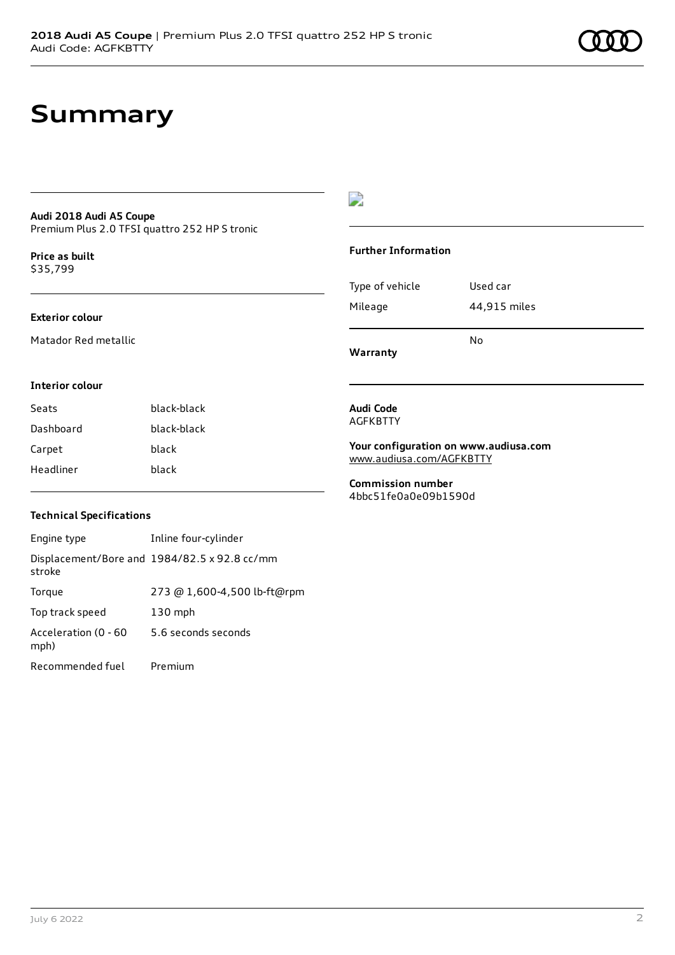## **Summary**

### **Audi 2018 Audi A5 Coupe** Premium Plus 2.0 TFSI quattro 252 HP S tronic

**Price as buil[t](#page-7-0)** \$35,799

#### **Exterior colour**

Matador Red metallic

## $\overline{\phantom{a}}$

#### **Further Information**

| Type of vehicle<br>Mileage | 44,915 miles |
|----------------------------|--------------|
|                            |              |
|                            | No           |

**Warranty**

#### **Interior colour**

Seats black-black Dashboard black-black Carpet black Headliner black

#### **Audi Code** AGFKBTTY

**Your configuration on www.audiusa.com** [www.audiusa.com/AGFKBTTY](https://www.audiusa.com/AGFKBTTY)

**Commission number** 4bbc51fe0a0e09b1590d

### **Technical Specifications**

| Engine type                  | Inline four-cylinder                         |
|------------------------------|----------------------------------------------|
| stroke                       | Displacement/Bore and 1984/82.5 x 92.8 cc/mm |
| Torque                       | 273 @ 1,600-4,500 lb-ft@rpm                  |
| Top track speed              | $130$ mph                                    |
| Acceleration (0 - 60<br>mph) | 5.6 seconds seconds                          |
| Recommended fuel             | Premium                                      |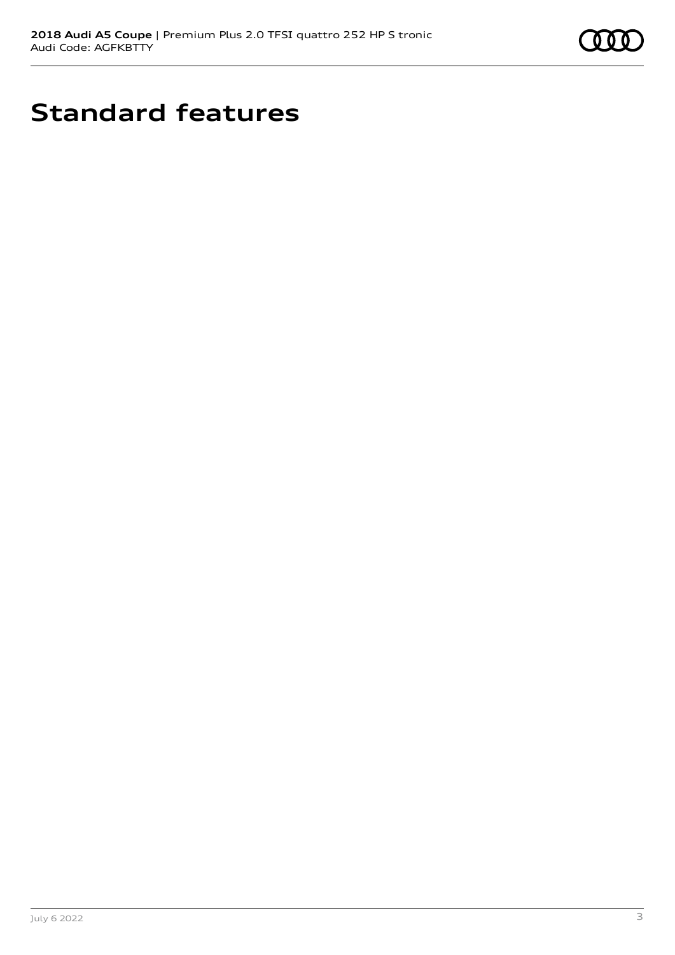

## **Standard features**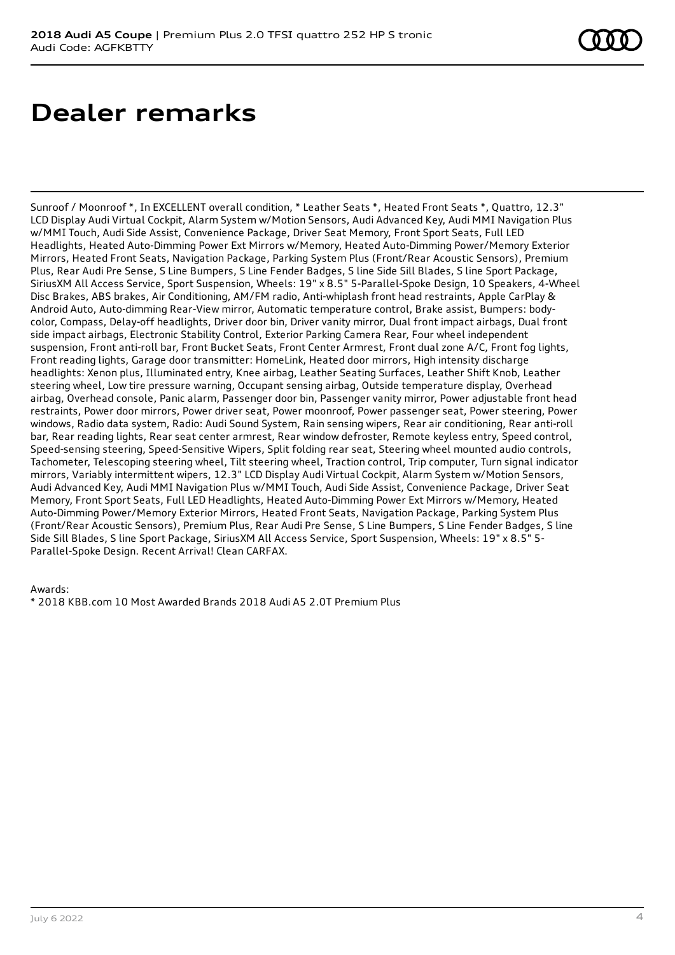## **Dealer remarks**

Sunroof / Moonroof \*, In EXCELLENT overall condition, \* Leather Seats \*, Heated Front Seats \*, Quattro, 12.3" LCD Display Audi Virtual Cockpit, Alarm System w/Motion Sensors, Audi Advanced Key, Audi MMI Navigation Plus w/MMI Touch, Audi Side Assist, Convenience Package, Driver Seat Memory, Front Sport Seats, Full LED Headlights, Heated Auto-Dimming Power Ext Mirrors w/Memory, Heated Auto-Dimming Power/Memory Exterior Mirrors, Heated Front Seats, Navigation Package, Parking System Plus (Front/Rear Acoustic Sensors), Premium Plus, Rear Audi Pre Sense, S Line Bumpers, S Line Fender Badges, S line Side Sill Blades, S line Sport Package, SiriusXM All Access Service, Sport Suspension, Wheels: 19" x 8.5" 5-Parallel-Spoke Design, 10 Speakers, 4-Wheel Disc Brakes, ABS brakes, Air Conditioning, AM/FM radio, Anti-whiplash front head restraints, Apple CarPlay & Android Auto, Auto-dimming Rear-View mirror, Automatic temperature control, Brake assist, Bumpers: bodycolor, Compass, Delay-off headlights, Driver door bin, Driver vanity mirror, Dual front impact airbags, Dual front side impact airbags, Electronic Stability Control, Exterior Parking Camera Rear, Four wheel independent suspension, Front anti-roll bar, Front Bucket Seats, Front Center Armrest, Front dual zone A/C, Front fog lights, Front reading lights, Garage door transmitter: HomeLink, Heated door mirrors, High intensity discharge headlights: Xenon plus, Illuminated entry, Knee airbag, Leather Seating Surfaces, Leather Shift Knob, Leather steering wheel, Low tire pressure warning, Occupant sensing airbag, Outside temperature display, Overhead airbag, Overhead console, Panic alarm, Passenger door bin, Passenger vanity mirror, Power adjustable front head restraints, Power door mirrors, Power driver seat, Power moonroof, Power passenger seat, Power steering, Power windows, Radio data system, Radio: Audi Sound System, Rain sensing wipers, Rear air conditioning, Rear anti-roll bar, Rear reading lights, Rear seat center armrest, Rear window defroster, Remote keyless entry, Speed control, Speed-sensing steering, Speed-Sensitive Wipers, Split folding rear seat, Steering wheel mounted audio controls, Tachometer, Telescoping steering wheel, Tilt steering wheel, Traction control, Trip computer, Turn signal indicator mirrors, Variably intermittent wipers, 12.3" LCD Display Audi Virtual Cockpit, Alarm System w/Motion Sensors, Audi Advanced Key, Audi MMI Navigation Plus w/MMI Touch, Audi Side Assist, Convenience Package, Driver Seat Memory, Front Sport Seats, Full LED Headlights, Heated Auto-Dimming Power Ext Mirrors w/Memory, Heated Auto-Dimming Power/Memory Exterior Mirrors, Heated Front Seats, Navigation Package, Parking System Plus (Front/Rear Acoustic Sensors), Premium Plus, Rear Audi Pre Sense, S Line Bumpers, S Line Fender Badges, S line Side Sill Blades, S line Sport Package, SiriusXM All Access Service, Sport Suspension, Wheels: 19" x 8.5" 5- Parallel-Spoke Design. Recent Arrival! Clean CARFAX.

Awards:

\* 2018 KBB.com 10 Most Awarded Brands 2018 Audi A5 2.0T Premium Plus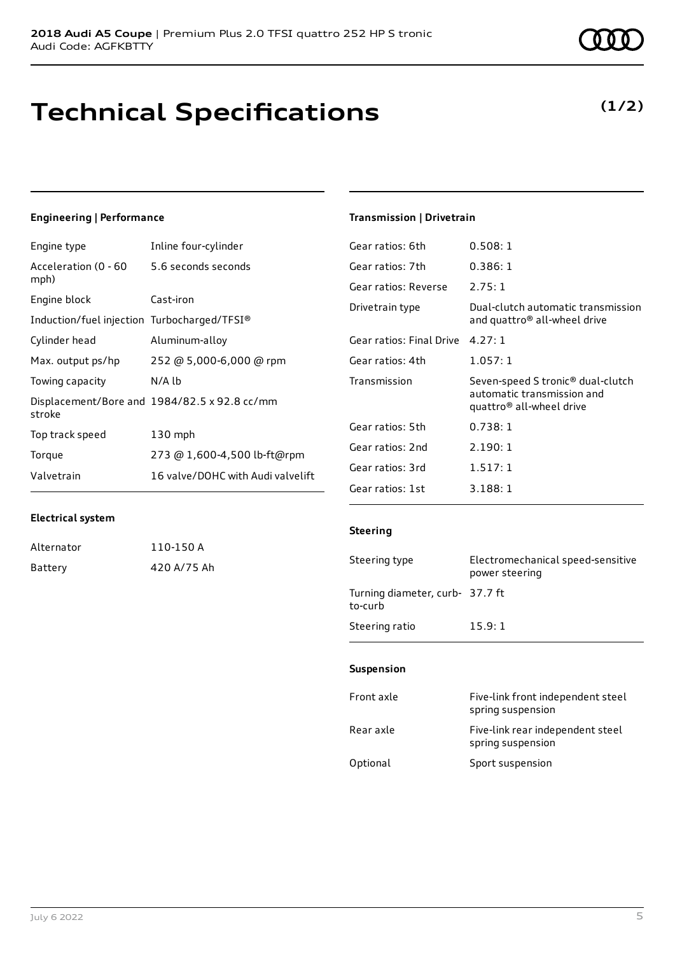## **Technical Specifications**

### Engine type Inline four-cylinder

**Engineering | Performance**

| Acceleration (0 - 60<br>mph)                | 5.6 seconds seconds                          |
|---------------------------------------------|----------------------------------------------|
| Engine block                                | Cast-iron                                    |
| Induction/fuel injection Turbocharged/TFSI® |                                              |
| Cylinder head                               | Aluminum-alloy                               |
| Max. output ps/hp                           | 252 @ 5,000-6,000 @ rpm                      |
| Towing capacity                             | $N/A$ $Ib$                                   |
| stroke                                      | Displacement/Bore and 1984/82.5 x 92.8 cc/mm |
| Top track speed                             | $130$ mph                                    |
| Torque                                      | 273 @ 1,600-4,500 lb-ft@rpm                  |
| Valvetrain                                  | 16 valve/DOHC with Audi valvelift            |
|                                             |                                              |

### **Transmission | Drivetrain**

| Gear ratios: 6th         | 0.508:1                                                                                                             |
|--------------------------|---------------------------------------------------------------------------------------------------------------------|
| Gear ratios: 7th         | 0.386:1                                                                                                             |
| Gear ratios: Reverse     | 2.75:1                                                                                                              |
| Drivetrain type          | Dual-clutch automatic transmission<br>and quattro <sup>®</sup> all-wheel drive                                      |
| Gear ratios: Final Drive | 4.27:1                                                                                                              |
| Gear ratios: 4th         | 1.057:1                                                                                                             |
| Transmission             | Seven-speed S tronic <sup>®</sup> dual-clutch<br>automatic transmission and<br>quattro <sup>®</sup> all-wheel drive |
| Gear ratios: 5th         | 0.738:1                                                                                                             |
| Gear ratios: 2nd         | 2.190:1                                                                                                             |
| Gear ratios: 3rd         | 1.517:1                                                                                                             |
| Gear ratios: 1st         | 3.188:1                                                                                                             |

### **Electrical system**

| Alternator | 110-150 A   |
|------------|-------------|
| Battery    | 420 A/75 Ah |

### **Steering**

| Steering type                              | Electromechanical speed-sensitive<br>power steering |
|--------------------------------------------|-----------------------------------------------------|
| Turning diameter, curb- 37.7 ft<br>to-curb |                                                     |
| Steering ratio                             | 15.9:1                                              |

### **Suspension**

| Front axle | Five-link front independent steel<br>spring suspension |
|------------|--------------------------------------------------------|
| Rear axle  | Five-link rear independent steel<br>spring suspension  |
| Optional   | Sport suspension                                       |



## **(1/2)**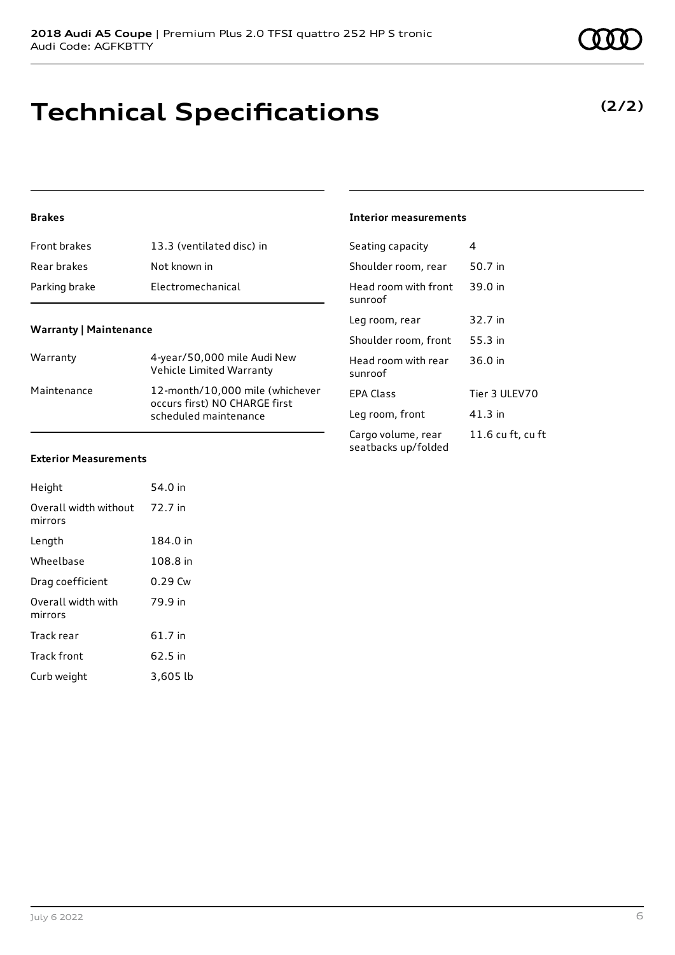## **Technical Specifications**

### **Brakes**

| Front brakes  | 13.3 (ventilated disc) in |
|---------------|---------------------------|
| Rear brakes   | Not known in              |
| Parking brake | Electromechanical         |

### **Warranty | Maintenance**

| Warranty    | 4-year/50,000 mile Audi New<br>Vehicle Limited Warranty                                   |
|-------------|-------------------------------------------------------------------------------------------|
| Maintenance | 12-month/10.000 mile (whichever<br>occurs first) NO CHARGE first<br>scheduled maintenance |

### **Interior measurements**

| Seating capacity                          | 4                 |
|-------------------------------------------|-------------------|
| Shoulder room, rear                       | 50.7 in           |
| Head room with front<br>sunroof           | 39.0 in           |
| Leg room, rear                            | 32.7 in           |
| Shoulder room, front                      | 55.3 in           |
| Head room with rear<br>sunroof            | 36.0 in           |
| FPA Class                                 | Tier 3 ULEV70     |
| Leg room, front                           | 41.3 in           |
| Cargo volume, rear<br>seatbacks up/folded | 11.6 cu ft, cu ft |

#### **Exterior Measurements**

| Height                           | 54.0 in   |
|----------------------------------|-----------|
| Overall width without<br>mirrors | 72.7 in   |
| Length                           | 184.0 in  |
| Wheelbase                        | 108.8 in  |
| Drag coefficient                 | $0.29$ Cw |
| Overall width with<br>mirrors    | 79.9 in   |
| Track rear                       | $61.7$ in |
| <b>Track front</b>               | 62.5 in   |
| Curb weight                      | 3.605 lb  |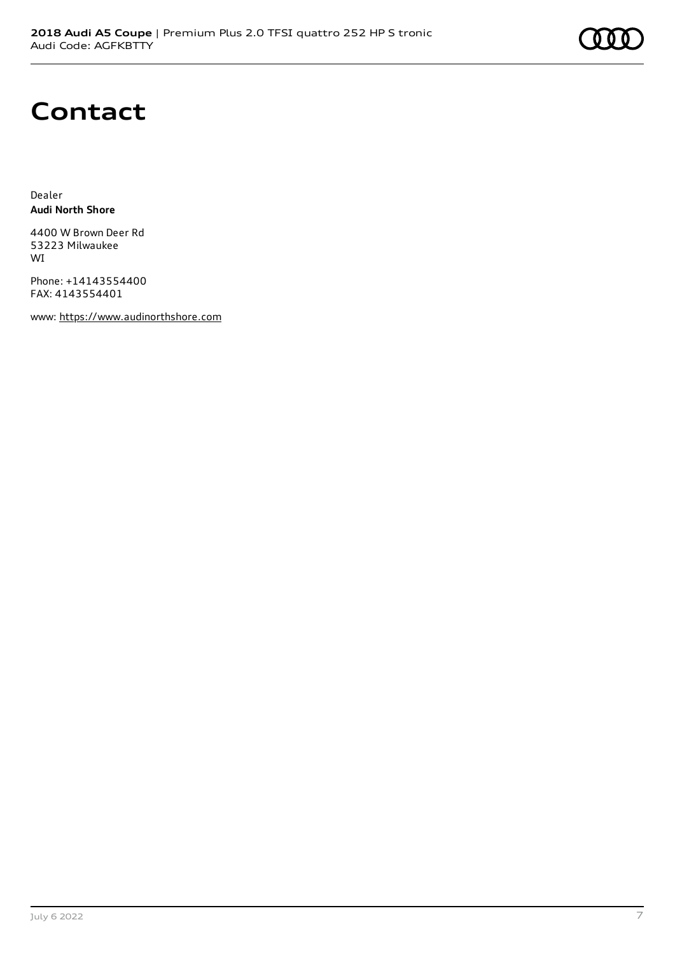# **Contact**

Dealer **Audi North Shore**

4400 W Brown Deer Rd 53223 Milwaukee WI

Phone: +14143554400 FAX: 4143554401

www: [https://www.audinorthshore.com](https://www.audinorthshore.com/)